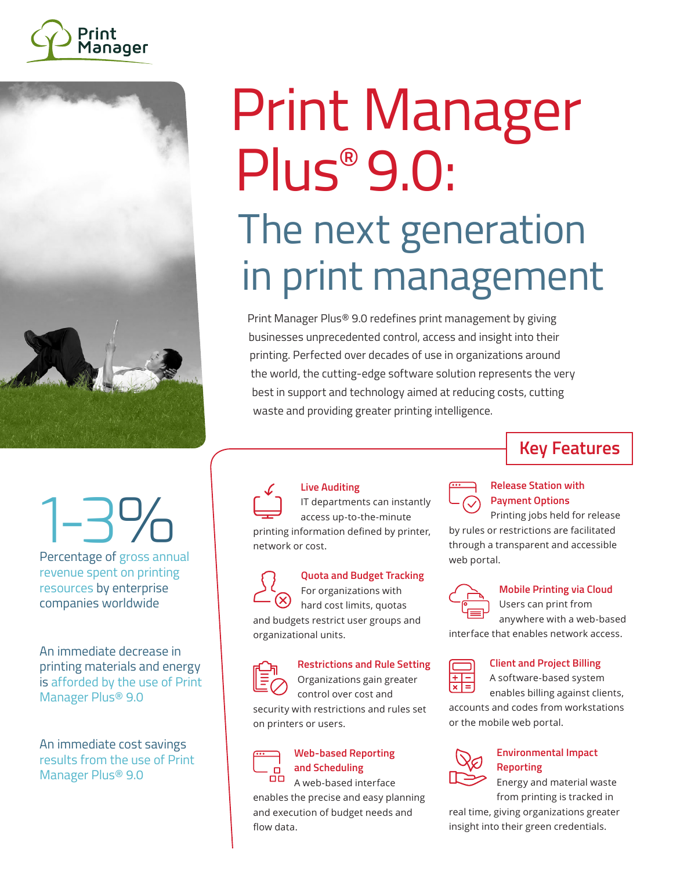



## Print Manager Plus<sup>®</sup> 9.0: The next generation in print management

Print Manager Plus® 9.0 redefines print management by giving businesses unprecedented control, access and insight into their printing. Perfected over decades of use in organizations around the world, the cutting-edge software solution represents the very best in support and technology aimed at reducing costs, cutting waste and providing greater printing intelligence.

# 1-3%

Percentage of gross annual revenue spent on printing resources by enterprise companies worldwide

An immediate decrease in printing materials and energy is afforded by the use of Print Manager Plus® 9.0

An immediate cost savings results from the use of Print Manager Plus® 9.0



#### **Live Auditing**

IT departments can instantly access up-to-the-minute printing information defined by printer, network or cost.



#### **Quota and Budget Tracking** For organizations with

hard cost limits, quotas and budgets restrict user groups and organizational units.

#### **Restrictions and Rule Setting** Organizations gain greater

control over cost and security with restrictions and rules set on printers or users.



#### **Web-based Reporting and Scheduling**  $\overline{CD}$  A web-based interface

enables the precise and easy planning and execution of budget needs and flow data.

## **Key Features**



#### **Release Station with Payment Options**

Printing jobs held for release by rules or restrictions are facilitated through a transparent and accessible web portal.



### **Mobile Printing via Cloud**

Users can print from anywhere with a web-based

interface that enables network access.

#### **Client and Project Billing**

A software-based system enables billing against clients,

accounts and codes from workstations or the mobile web portal.



#### **Environmental Impact Reporting**

Energy and material waste from printing is tracked in

real time, giving organizations greater insight into their green credentials.